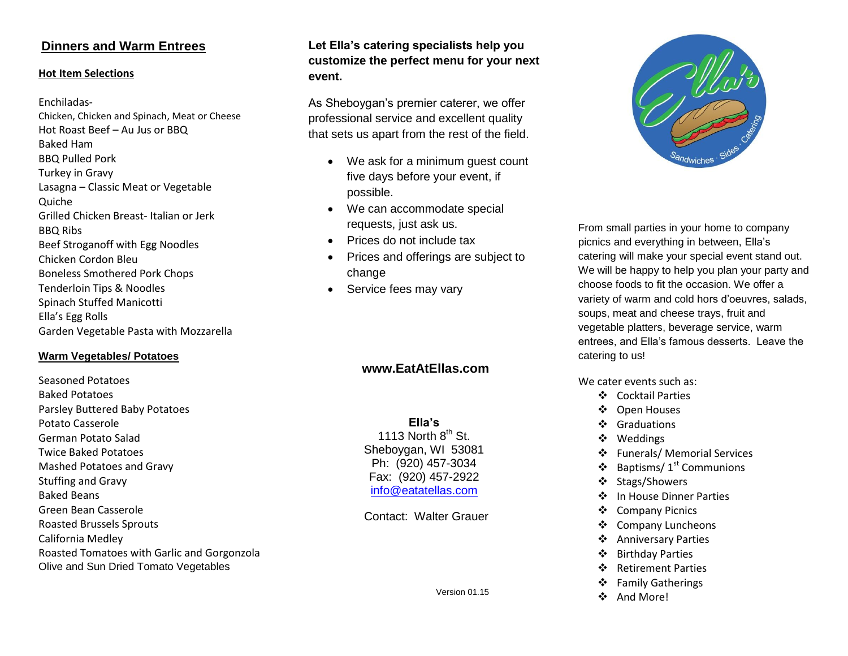# **Dinners and Warm Entrees**

#### **Hot Item Selections**

#### Enchiladas-

Chicken, Chicken and Spinach, Meat or Cheese Hot Roast Beef – Au Jus or BBQ Baked Ham BBQ Pulled Pork Turkey in Gravy Lasagna – Classic Meat or Vegetable Quiche Grilled Chicken Breast- Italian or Jerk BBQ Ribs Beef Stroganoff with Egg Noodles Chicken Cordon Bleu Boneless Smothered Pork Chops Tenderloin Tips & Noodles Spinach Stuffed Manicotti Ella's Egg Rolls Garden Vegetable Pasta with Mozzarella

#### **Warm Vegetables/ Potatoes**

Seasoned Potatoes Baked Potatoes Parsley Buttered Baby Potatoes Potato Casserole German Potato Salad Twice Baked Potatoes Mashed Potatoes and Gravy Stuffing and Gravy Baked Beans Green Bean Casserole Roasted Brussels Sprouts California Medley Roasted Tomatoes with Garlic and Gorgonzola Olive and Sun Dried Tomato Vegetables

# **Let Ella's catering specialists help you customize the perfect menu for your next event.**

As Sheboygan's premier caterer, we offer professional service and excellent quality that sets us apart from the rest of the field.

- We ask for a minimum guest count five days before your event, if possible.
- We can accommodate special requests, just ask us.
- Prices do not include tax
- Prices and offerings are subject to change
- Service fees may vary

# **www.EatAtEllas.com**

**Ella's** 1113 North  $8<sup>th</sup>$  St. Sheboygan, WI 53081 Ph: (920) 457-3034 Fax: (920) 457-2922 [info@eatatellas.com](mailto:info@eatatellas.com)

Contact: Walter Grauer



From small parties in your home to company picnics and everything in between, Ella's catering will make your special event stand out. We will be happy to help you plan your party and choose foods to fit the occasion. We offer a variety of warm and cold hors d'oeuvres, salads, soups, meat and cheese trays, fruit and vegetable platters, beverage service, warm entrees, and Ella's famous desserts. Leave the catering to us!

We cater events such as:

- Cocktail Parties
- ❖ Open Houses
- ❖ Graduations
- Weddings
- Funerals/ Memorial Services
- $\triangleleft$  Baptisms/ 1<sup>st</sup> Communions
- ❖ Stags/Showers
- ❖ In House Dinner Parties
- ❖ Company Picnics
- ❖ Company Luncheons
- Anniversary Parties
- Birthday Parties
- ❖ Retirement Parties
- ❖ Family Gatherings
- ❖ And More!

Version 01.15